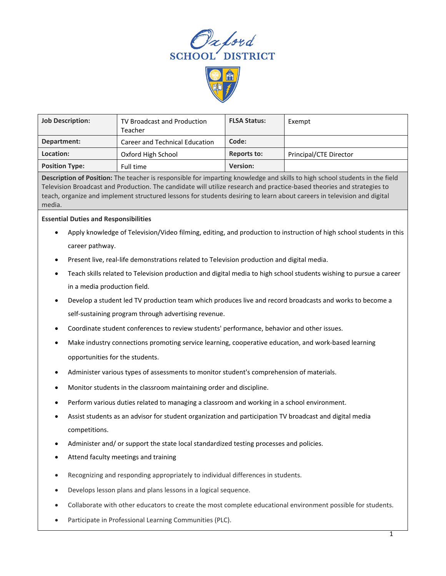



| <b>Job Description:</b> | TV Broadcast and Production<br>Teacher | <b>FLSA Status:</b> | Exempt                 |
|-------------------------|----------------------------------------|---------------------|------------------------|
| Department:             | <b>Career and Technical Education</b>  | Code:               |                        |
| Location:               | Oxford High School                     | <b>Reports to:</b>  | Principal/CTE Director |
| <b>Position Type:</b>   | Full time                              | <b>Version:</b>     |                        |

**Description of Position:** The teacher is responsible for imparting knowledge and skills to high school students in the field Television Broadcast and Production. The candidate will utilize research and practice-based theories and strategies to teach, organize and implement structured lessons for students desiring to learn about careers in television and digital media.

## **Essential Duties and Responsibilities**

- Apply knowledge of Television/Video filming, editing, and production to instruction of high school students in this career pathway.
- Present live, real-life demonstrations related to Television production and digital media.
- Teach skills related to Television production and digital media to high school students wishing to pursue a career in a media production field.
- Develop a student led TV production team which produces live and record broadcasts and works to become a self-sustaining program through advertising revenue.
- Coordinate student conferences to review students' performance, behavior and other issues.
- Make industry connections promoting service learning, cooperative education, and work-based learning opportunities for the students.
- Administer various types of assessments to monitor student's comprehension of materials.
- Monitor students in the classroom maintaining order and discipline.
- Perform various duties related to managing a classroom and working in a school environment.
- Assist students as an advisor for student organization and participation TV broadcast and digital media competitions.
- Administer and/ or support the state local standardized testing processes and policies.
- Attend faculty meetings and training
- Recognizing and responding appropriately to individual differences in students.
- Develops lesson plans and plans lessons in a logical sequence.
- Collaborate with other educators to create the most complete educational environment possible for students.
- Participate in Professional Learning Communities (PLC).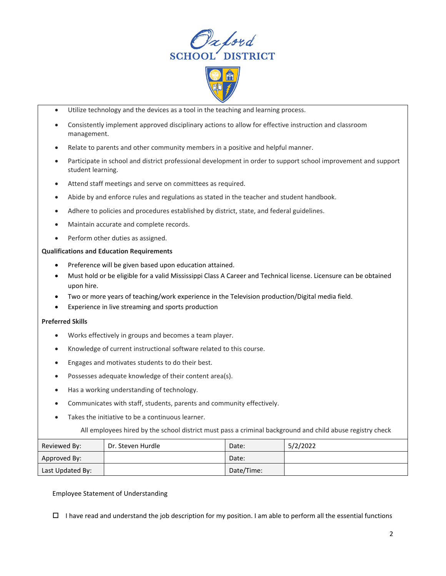



- Utilize technology and the devices as a tool in the teaching and learning process.
- Consistently implement approved disciplinary actions to allow for effective instruction and classroom management.
- Relate to parents and other community members in a positive and helpful manner.
- Participate in school and district professional development in order to support school improvement and support student learning.
- Attend staff meetings and serve on committees as required.
- Abide by and enforce rules and regulations as stated in the teacher and student handbook.
- Adhere to policies and procedures established by district, state, and federal guidelines.
- Maintain accurate and complete records.
- Perform other duties as assigned.

## **Qualifications and Education Requirements**

- Preference will be given based upon education attained.
- Must hold or be eligible for a valid Mississippi Class A Career and Technical license. Licensure can be obtained upon hire.
- Two or more years of teaching/work experience in the Television production/Digital media field.
- Experience in live streaming and sports production

## **Preferred Skills**

- Works effectively in groups and becomes a team player.
- Knowledge of current instructional software related to this course.
- Engages and motivates students to do their best.
- Possesses adequate knowledge of their content area(s).
- Has a working understanding of technology.
- Communicates with staff, students, parents and community effectively.
- Takes the initiative to be a continuous learner.

All employees hired by the school district must pass a criminal background and child abuse registry check

| Reviewed By:     | Dr. Steven Hurdle | Date:      | 5/2/2022 |
|------------------|-------------------|------------|----------|
| Approved By:     |                   | Date:      |          |
| Last Updated By: |                   | Date/Time: |          |

## Employee Statement of Understanding

 $\Box$  I have read and understand the job description for my position. I am able to perform all the essential functions